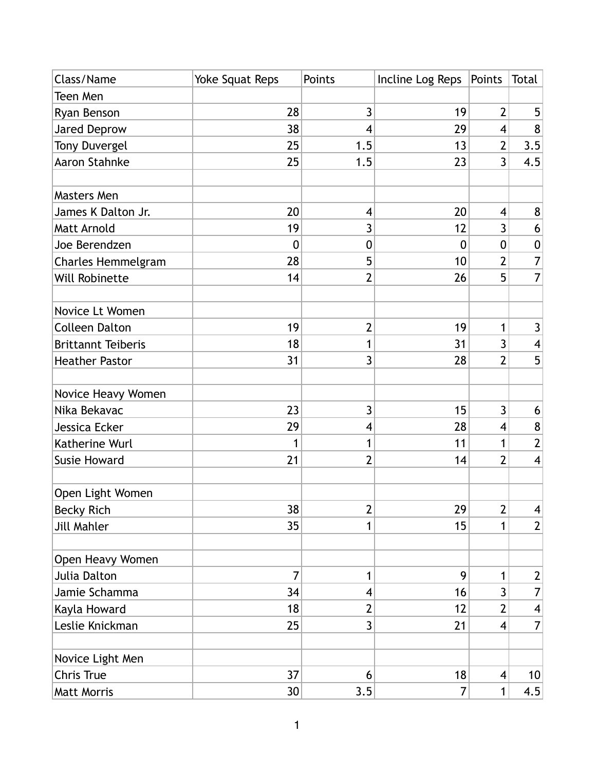| Class/Name                | Yoke Squat Reps | Points           | Incline Log Reps | Points                  | <b>Total</b>             |
|---------------------------|-----------------|------------------|------------------|-------------------------|--------------------------|
| Teen Men                  |                 |                  |                  |                         |                          |
| Ryan Benson               | 28              | 3                | 19               | $\overline{2}$          | 5                        |
| <b>Jared Deprow</b>       | 38              | 4                | 29               | 4                       | 8                        |
| Tony Duvergel             | 25              | 1.5              | 13               | $\overline{2}$          | 3.5                      |
| Aaron Stahnke             | 25              | 1.5              | 23               | $\overline{3}$          | 4.5                      |
|                           |                 |                  |                  |                         |                          |
| <b>Masters Men</b>        |                 |                  |                  |                         |                          |
| James K Dalton Jr.        | 20              | 4                | 20               | $\overline{\mathbf{4}}$ | 8                        |
| <b>Matt Arnold</b>        | 19              | 3                | 12               | 3                       | 6                        |
| Joe Berendzen             | $\overline{0}$  | $\boldsymbol{0}$ | $\mathbf 0$      | $\boldsymbol{0}$        | $\pmb{0}$                |
| Charles Hemmelgram        | 28              | 5                | 10               | $\overline{2}$          | $\overline{7}$           |
| Will Robinette            | 14              | $\overline{2}$   | 26               | 5                       | $\overline{7}$           |
|                           |                 |                  |                  |                         |                          |
| Novice Lt Women           |                 |                  |                  |                         |                          |
| <b>Colleen Dalton</b>     | 19              | 2                | 19               | 1                       | 3                        |
| <b>Brittannt Teiberis</b> | 18              | 1                | 31               | 3                       | 4                        |
| <b>Heather Pastor</b>     | 31              | 3                | 28               | $\overline{2}$          | 5                        |
|                           |                 |                  |                  |                         |                          |
| Novice Heavy Women        |                 |                  |                  |                         |                          |
| Nika Bekavac              | 23              | 3                | 15               | $\overline{3}$          | 6                        |
| Jessica Ecker             | 29              | 4                | 28               | 4                       | $\bf 8$                  |
| Katherine Wurl            | 1               | 1                | 11               | 1                       | $\overline{2}$           |
| <b>Susie Howard</b>       | 21              | $\overline{2}$   | 14               | $\overline{2}$          | 4                        |
|                           |                 |                  |                  |                         |                          |
| Open Light Women          |                 |                  |                  |                         |                          |
| <b>Becky Rich</b>         | 38              | $\overline{2}$   | 29               | $\overline{2}$          | $\boldsymbol{4}$         |
| <b>Jill Mahler</b>        | 35              | 1                | 15               | 1                       | $\overline{2}$           |
|                           |                 |                  |                  |                         |                          |
| Open Heavy Women          |                 |                  |                  |                         |                          |
| Julia Dalton              | $\overline{7}$  | 1                | 9                | $\mathbf{1}$            | $\mathbf{2}$             |
| Jamie Schamma             | 34              | 4                | 16               | $\mathbf{3}$            | $\overline{7}$           |
| Kayla Howard              | 18              | $\overline{2}$   | 12               | $\overline{2}$          | $\overline{\mathcal{A}}$ |
| Leslie Knickman           | 25              | 3                | 21               | 4                       | $\overline{7}$           |
|                           |                 |                  |                  |                         |                          |
| Novice Light Men          |                 |                  |                  |                         |                          |
| <b>Chris True</b>         | 37              | 6                | 18               | $\overline{\mathbf{4}}$ | 10                       |
| <b>Matt Morris</b>        | 30              | 3.5              | 7                | $\mathbf{1}$            | 4.5                      |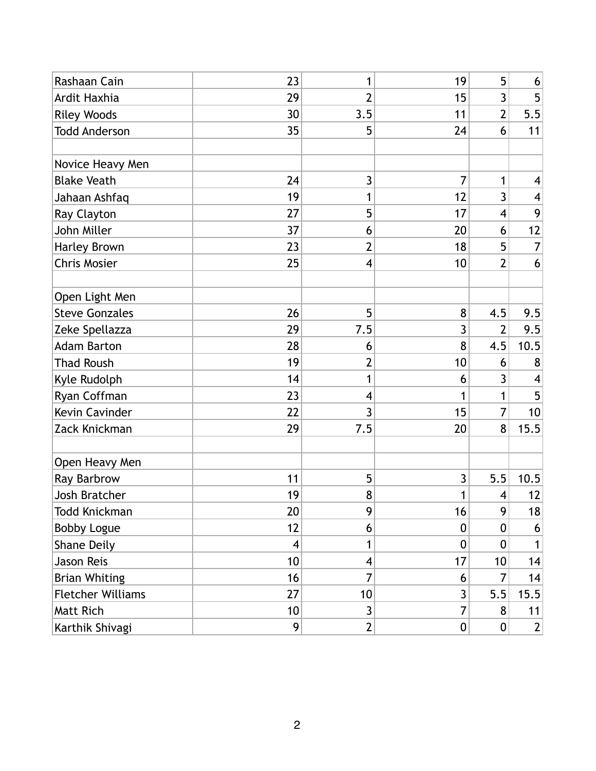| Rashaan Cain             | 23             | 1                        | 19               | 5                | 6                       |
|--------------------------|----------------|--------------------------|------------------|------------------|-------------------------|
| Ardit Haxhia             | 29             | $\overline{2}$           | 15               | 3                | 5                       |
| <b>Riley Woods</b>       | 30             | 3.5                      | 11               | $\overline{2}$   | 5.5                     |
| <b>Todd Anderson</b>     | 35             | 5                        | 24               | 6                | 11                      |
|                          |                |                          |                  |                  |                         |
| Novice Heavy Men         |                |                          |                  |                  |                         |
| <b>Blake Veath</b>       | 24             | $\overline{3}$           | 7                | $\mathbf{1}$     | $\overline{\mathbf{4}}$ |
| Jahaan Ashfaq            | 19             | 1                        | 12               | 3                | $\overline{\mathbf{4}}$ |
| Ray Clayton              | 27             | 5                        | 17               | $\overline{4}$   | 9                       |
| John Miller              | 37             | 6                        | 20               | 6                | 12                      |
| Harley Brown             | 23             | $\overline{2}$           | 18               | 5                | $\overline{7}$          |
| <b>Chris Mosier</b>      | 25             | $\overline{\mathcal{A}}$ | 10               | $\overline{2}$   | 6                       |
|                          |                |                          |                  |                  |                         |
| Open Light Men           |                |                          |                  |                  |                         |
| <b>Steve Gonzales</b>    | 26             | 5                        | 8                | 4.5              | 9.5                     |
| Zeke Spellazza           | 29             | 7.5                      | 3                | $\overline{2}$   | 9.5                     |
| <b>Adam Barton</b>       | 28             | 6                        | 8                | 4.5              | 10.5                    |
| <b>Thad Roush</b>        | 19             | 2                        | 10               | 6                | 8                       |
| Kyle Rudolph             | 14             | 1                        | 6                | 3                | $\overline{\mathbf{4}}$ |
| Ryan Coffman             | 23             | 4                        | 1                | $\mathbf{1}$     | 5                       |
| Kevin Cavinder           | 22             | 3                        | 15               | $\overline{7}$   | 10                      |
| Zack Knickman            | 29             | 7.5                      | 20               | 8                | 15.5                    |
|                          |                |                          |                  |                  |                         |
| Open Heavy Men           |                |                          |                  |                  |                         |
| Ray Barbrow              | 11             | 5                        | $\mathsf{3}$     | 5.5              | 10.5                    |
| Josh Bratcher            | 19             | 8                        | 1                | $\overline{4}$   | 12                      |
| Todd Knickman            | 20             | 9                        | 16               | 9                | 18                      |
| <b>Bobby Logue</b>       | 12             | 6                        | $\boldsymbol{0}$ | 0                | 6                       |
| <b>Shane Deily</b>       | $\overline{4}$ | 1                        | $\mathbf{0}$     | $\mathbf 0$      |                         |
| Jason Reis               | 10             | $\overline{\mathbf{4}}$  | 17               | 10               | 14                      |
| <b>Brian Whiting</b>     | 16             | $\overline{7}$           | 6                | $\overline{7}$   | 14                      |
| <b>Fletcher Williams</b> | 27             | 10                       | $\overline{3}$   | 5.5              | 15.5                    |
| Matt Rich                | 10             | 3                        | $\overline{7}$   | 8                | 11                      |
| Karthik Shivagi          | 9              | $\overline{2}$           | $\boldsymbol{0}$ | $\boldsymbol{0}$ | $\overline{2}$          |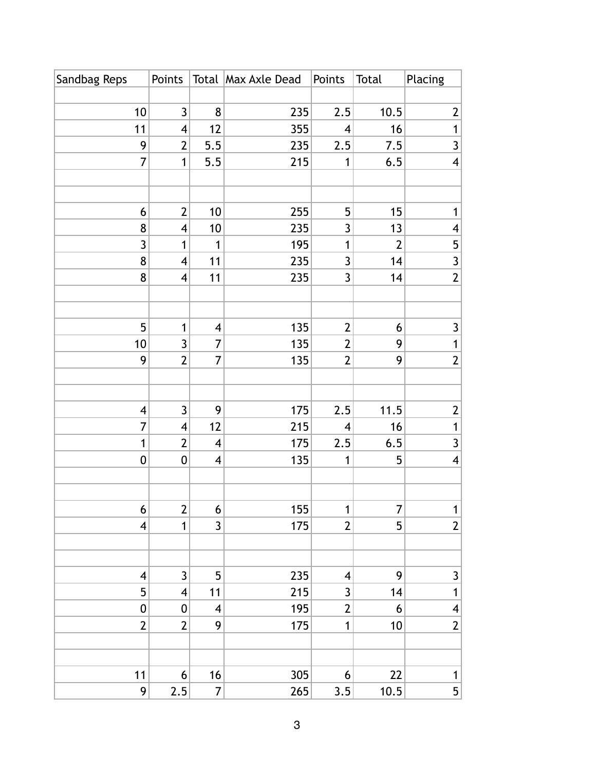| Sandbag Reps            | Points                  |                         | Total Max Axle Dead | Points                  | Total          | Placing                 |
|-------------------------|-------------------------|-------------------------|---------------------|-------------------------|----------------|-------------------------|
|                         |                         |                         |                     |                         |                |                         |
| 10                      | $\mathfrak{Z}$          | 8                       | 235                 | 2.5                     | 10.5           | $\mathbf{2}$            |
| 11                      | $\overline{\mathbf{4}}$ | 12                      | 355                 | $\overline{\mathbf{4}}$ | 16             | $\mathbf{1}$            |
| 9                       | $\overline{2}$          | 5.5                     | 235                 | 2.5                     | 7.5            | $\overline{3}$          |
| $\overline{7}$          | $\mathbf 1$             | 5.5                     | 215                 | 1                       | 6.5            | $\vert 4 \vert$         |
|                         |                         |                         |                     |                         |                |                         |
|                         |                         |                         |                     |                         |                |                         |
| 6                       | $\overline{2}$          | 10                      | 255                 | 5                       | 15             | 1                       |
| 8                       | 4                       | 10                      | 235                 | 3                       | 13             | $\overline{\mathbf{4}}$ |
| $\overline{3}$          | 1                       | 1                       | 195                 | $\mathbf 1$             | $\overline{2}$ | $\overline{5}$          |
| 8                       | $\overline{\mathbf{4}}$ | 11                      | 235                 | 3                       | 14             | $\overline{3}$          |
| 8                       | $\overline{\mathbf{4}}$ | 11                      | 235                 | 3                       | 14             | $2\vert$                |
|                         |                         |                         |                     |                         |                |                         |
|                         |                         |                         |                     |                         |                |                         |
| 5                       | $\mathbf{1}$            | $\overline{\mathbf{4}}$ | 135                 | $\overline{2}$          | 6              | 3                       |
| 10                      | 3                       | 7                       | 135                 | $\overline{2}$          | 9              | $\mathbf{1}$            |
| 9                       | $\overline{2}$          | 7                       | 135                 | $\overline{2}$          | 9              | $2\vert$                |
|                         |                         |                         |                     |                         |                |                         |
|                         |                         |                         |                     |                         |                |                         |
| $\overline{\mathbf{4}}$ | $\mathfrak{Z}$          | 9                       | 175                 | 2.5                     | 11.5           | $\mathbf{2}$            |
| 7                       | 4                       | 12                      | 215                 | $\overline{4}$          | 16             | $\mathbf{1}$            |
| $\mathbf{1}$            | $\overline{2}$          | $\overline{\mathbf{4}}$ | 175                 | 2.5                     | 6.5            | $\overline{\mathbf{3}}$ |
| $\pmb{0}$               | $\pmb{0}$               | $\overline{\mathbf{4}}$ | 135                 | 1                       | 5              | $\vert 4 \vert$         |
|                         |                         |                         |                     |                         |                |                         |
|                         |                         |                         |                     |                         |                |                         |
| 6                       | 2                       | 6                       | 155                 | 1                       | 7              | $\mathbf{1}$            |
| $\overline{\mathbf{4}}$ | $\mathbf{1}$            | $\overline{3}$          | 175                 | $\overline{2}$          | 5              | $2\vert$                |
|                         |                         |                         |                     |                         |                |                         |
|                         |                         |                         |                     |                         |                |                         |
| $\overline{\mathbf{4}}$ | $\overline{3}$          | 5                       | 235                 | $\overline{\mathbf{4}}$ | 9              | 3                       |
| 5                       | $\overline{\mathbf{4}}$ | 11                      | 215                 | 3                       | 14             | $\mathbf{1}$            |
| $\mathbf 0$             | 0                       | $\overline{\mathbf{4}}$ | 195                 | $\overline{\mathbf{c}}$ | 6              | $\overline{\mathbf{4}}$ |
| $\overline{2}$          | $\overline{2}$          | 9                       | 175                 | $\mathbf{1}$            | 10             | $2\vert$                |
|                         |                         |                         |                     |                         |                |                         |
|                         |                         |                         |                     |                         |                |                         |
| 11                      | 6                       | 16                      | 305                 | 6                       | 22             | $\mathbf{1}$            |
| 9                       | 2.5                     | $\overline{7}$          | 265                 | 3.5                     | 10.5           | $\overline{5}$          |